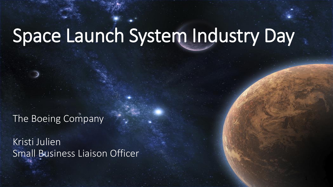# Space Launch System Industry Day

The Boeing Company

Kristi Julien Small Business Liaison Officer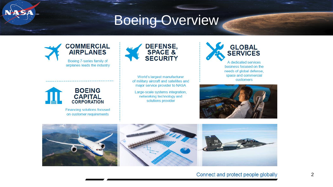## Boeing Overview





Financing solutions focused on customer requirements



World's largest manufacturer of military aircraft and satellites and major service provider to NASA

Large-scale systems integration, networking technology and solutions provider



space and commercial

customers



Connect and protect people globally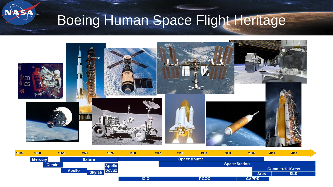

# Boeing Human Space Flight Heritage



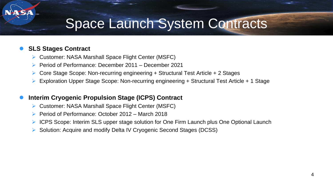## Space Launch System Contracts

#### **SLS Stages Contract**

- ▶ Customer: NASA Marshall Space Flight Center (MSFC)
- Period of Performance: December 2011 December 2021
- Core Stage Scope: Non-recurring engineering + Structural Test Article + 2 Stages
- Exploration Upper Stage Scope: Non-recurring engineering + Structural Test Article + 1 Stage

#### **Interim Cryogenic Propulsion Stage (ICPS) Contract**

- Customer: NASA Marshall Space Flight Center (MSFC)
- Period of Performance: October 2012 March 2018
- ▶ ICPS Scope: Interim SLS upper stage solution for One Firm Launch plus One Optional Launch
- ▶ Solution: Acquire and modify Delta IV Cryogenic Second Stages (DCSS)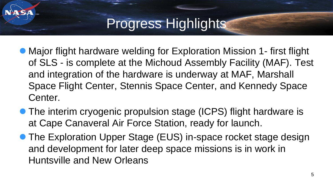# Progress Highlights

- Major flight hardware welding for Exploration Mission 1- first flight of SLS - is complete at the Michoud Assembly Facility (MAF). Test and integration of the hardware is underway at MAF, Marshall Space Flight Center, Stennis Space Center, and Kennedy Space Center.
- The interim cryogenic propulsion stage (ICPS) flight hardware is at Cape Canaveral Air Force Station, ready for launch.
- The Exploration Upper Stage (EUS) in-space rocket stage design and development for later deep space missions is in work in Huntsville and New Orleans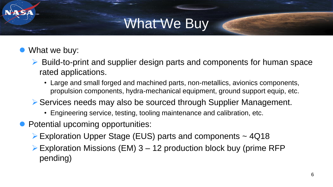# What We Buy

- What we buy:
	- ▶ Build-to-print and supplier design parts and components for human space rated applications.
		- Large and small forged and machined parts, non-metallics, avionics components, propulsion components, hydra-mechanical equipment, ground support equip, etc.
	- ▶ Services needs may also be sourced through Supplier Management.
		- Engineering service, testing, tooling maintenance and calibration, etc.
- Potential upcoming opportunities:
	- ▶ Exploration Upper Stage (EUS) parts and components ~ 4Q18
	- $\triangleright$  Exploration Missions (EM) 3 12 production block buy (prime RFP pending)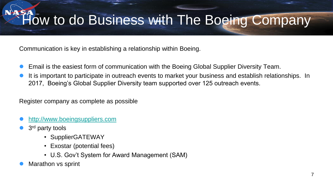Communication is key in establishing a relationship within Boeing.

- Email is the easiest form of communication with the Boeing Global Supplier Diversity Team.
- It is important to participate in outreach events to market your business and establish relationships. In 2017, Boeing's Global Supplier Diversity team supported over 125 outreach events.

Register company as complete as possible

- [http://www.boeingsuppliers.com](http://www.boeingsuppliers.com/)
- 3<sup>rd</sup> party tools
	- SupplierGATEWAY
	- Exostar (potential fees)
	- U.S. Gov't System for Award Management (SAM)
- Marathon vs sprint